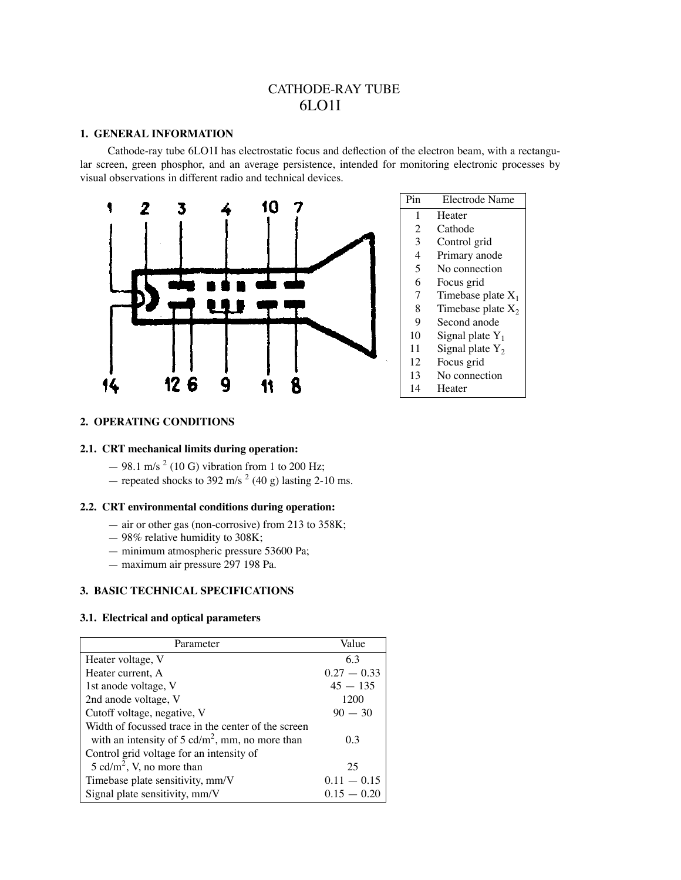# CATHODE-RAY TUBE 6LO1I

#### **1. GENERAL INFORMATION**

Cathode-ray tube 6LO1I has electrostatic focus and deflection of the electron beam, with a rectangular screen, green phosphor, and an average persistence, intended for monitoring electronic processes by visual observations in different radio and technical devices.



# **2. OPERATING CONDITIONS**

# **2.1. CRT mechanical limits during operation:**

- $-98.1$  m/s<sup>2</sup> (10 G) vibration from 1 to 200 Hz;
- repeated shocks to 392 m/s<sup>2</sup> (40 g) lasting 2-10 ms.

# **2.2. CRT environmental conditions during operation:**

- air or other gas (non-corrosive) from 213 to 358K;
- 98% relative humidity to 308K;
- minimum atmospheric pressure 53600 Pa;
- maximum air pressure 297 198 Pa.

## **3. BASIC TECHNICAL SPECIFICATIONS**

## **3.1. Electrical and optical parameters**

| Parameter                                           | Value         |
|-----------------------------------------------------|---------------|
| Heater voltage, V                                   | 6.3           |
| Heater current, A                                   | $0.27 - 0.33$ |
| 1st anode voltage, V                                | $45 - 135$    |
| 2nd anode voltage, V                                | 1200          |
| Cutoff voltage, negative, V                         | $90 - 30$     |
| Width of focussed trace in the center of the screen |               |
| with an intensity of 5 $cd/m2$ , mm, no more than   | 0.3           |
| Control grid voltage for an intensity of            |               |
| 5 cd/m <sup>2</sup> , V, no more than               | 25            |
| Timebase plate sensitivity, mm/V                    | $0.11 - 0.15$ |
| Signal plate sensitivity, mm/V                      | $0.15 - 0.20$ |